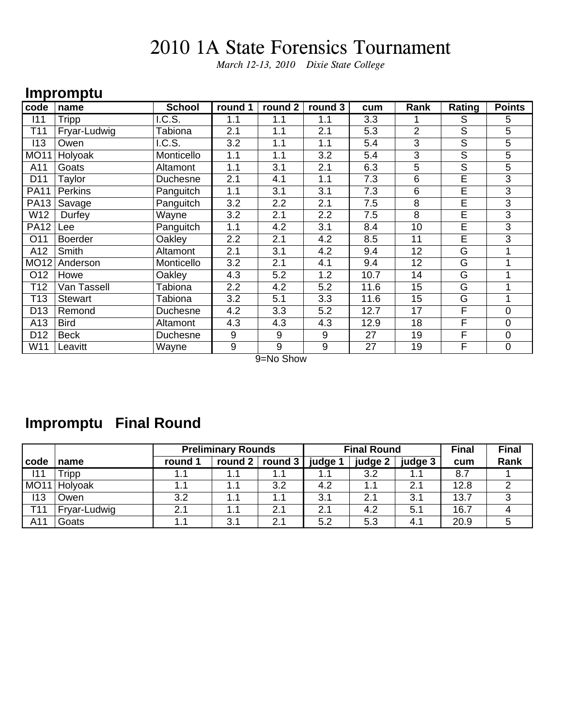*March 12-13, 2010 Dixie State College*

### **Impromptu**

| code            | name           | <b>School</b> | round 1 | round 2 | round 3 | cum  | Rank           | Rating                  | <b>Points</b>  |
|-----------------|----------------|---------------|---------|---------|---------|------|----------------|-------------------------|----------------|
| 111             | Tripp          | I.C.S.        | 1.1     | 1.1     | 1.1     | 3.3  |                | S                       | 5              |
| T11             | Fryar-Ludwig   | Tabiona       | 2.1     | 1.1     | 2.1     | 5.3  | $\overline{2}$ | S                       | 5              |
| 113             | Owen           | I.C.S.        | 3.2     | 1.1     | 1.1     | 5.4  | 3              | $\overline{\mathsf{S}}$ | 5              |
| <b>MO11</b>     | Holyoak        | Monticello    | 1.1     | 1.1     | 3.2     | 5.4  | 3              | S                       | 5              |
| A11             | Goats          | Altamont      | 1.1     | 3.1     | 2.1     | 6.3  | 5              | S                       | 5              |
| D11             | Taylor         | Duchesne      | 2.1     | 4.1     | 1.1     | 7.3  | 6              | E                       | 3              |
| <b>PA11</b>     | Perkins        | Panguitch     | 1.1     | 3.1     | 3.1     | 7.3  | 6              | E                       | 3              |
| <b>PA13</b>     | Savage         | Panguitch     | 3.2     | 2.2     | 2.1     | 7.5  | 8              | E                       | $\overline{3}$ |
| W12             | Durfey         | Wayne         | 3.2     | 2.1     | 2.2     | 7.5  | 8              | E                       | 3              |
| <b>PA12</b>     | Lee            | Panguitch     | 1.1     | 4.2     | 3.1     | 8.4  | 10             | E                       | 3              |
| O11             | <b>Boerder</b> | Oakley        | 2.2     | 2.1     | 4.2     | 8.5  | 11             | E                       | 3              |
| A12             | Smith          | Altamont      | 2.1     | 3.1     | 4.2     | 9.4  | 12             | G                       |                |
| <b>MO12</b>     | Anderson       | Monticello    | 3.2     | 2.1     | 4.1     | 9.4  | 12             | G                       |                |
| O12             | Howe           | Oakley        | 4.3     | 5.2     | 1.2     | 10.7 | 14             | G                       |                |
| T12             | Van Tassell    | Tabiona       | 2.2     | 4.2     | 5.2     | 11.6 | 15             | G                       |                |
| T13             | <b>Stewart</b> | Tabiona       | 3.2     | 5.1     | 3.3     | 11.6 | 15             | G                       |                |
| D <sub>13</sub> | Remond         | Duchesne      | 4.2     | 3.3     | 5.2     | 12.7 | 17             | F                       | $\mathbf 0$    |
| A13             | <b>Bird</b>    | Altamont      | 4.3     | 4.3     | 4.3     | 12.9 | 18             | F                       | $\mathbf 0$    |
| D <sub>12</sub> | <b>Beck</b>    | Duchesne      | 9       | 9       | 9       | 27   | 19             | F                       | $\overline{0}$ |
| W11             | Leavitt        | Wayne         | 9       | 9       | 9       | 27   | 19             | F                       | $\mathbf 0$    |

9=No Show

## **Impromptu Final Round**

|                  |              |         | <b>Preliminary Rounds</b> |                |         | <b>Final Round</b> |         | <b>Final</b> | <b>Final</b> |
|------------------|--------------|---------|---------------------------|----------------|---------|--------------------|---------|--------------|--------------|
| l code           | name         | round 1 | round 2                   | round $3 \mid$ | judge 1 | judge 2            | judge 3 | cum          | Rank         |
| 111              | Tripp        |         |                           |                |         | 3.2                |         | 8.7          |              |
| MO <sub>11</sub> | Holyoak      |         | 1.1                       | 3.2            | 4.2     |                    | 2.1     | 12.8         |              |
| 113              | Owen         | 3.2     | 1.1                       | 1.1            | 3.1     | 2.1                | 3.1     | 13.7         |              |
| T <sub>11</sub>  | Fryar-Ludwig | 2.1     | 1.1                       | 2.1            | 2.1     | 4.2                | 5.1     | 16.7         |              |
| A11              | Goats        |         | 3.1                       | 2.1            | 5.2     | 5.3                | 4.1     | 20.9         |              |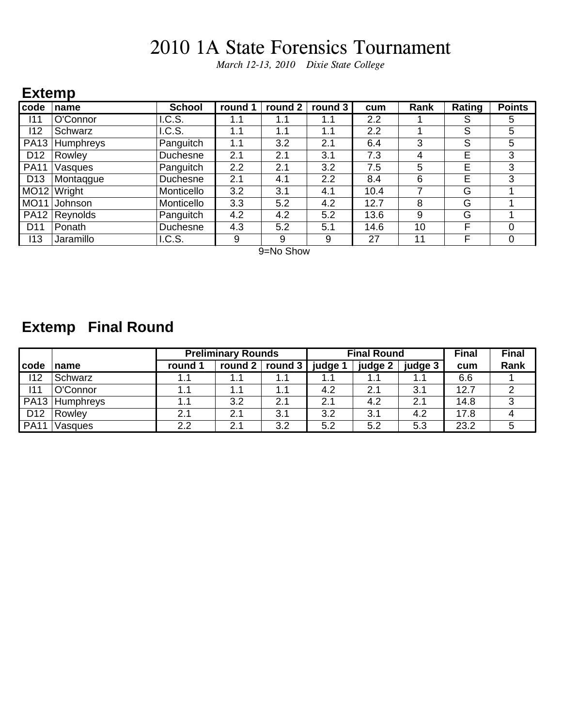*March 12-13, 2010 Dixie State College*

### **Extemp**

| code            | name      | <b>School</b> | round 1 | round 2 | round 3 | cum  | Rank | Rating | <b>Points</b> |
|-----------------|-----------|---------------|---------|---------|---------|------|------|--------|---------------|
| 111             | O'Connor  | I.C.S.        | 1.1     | 1.1     | 1.1     | 2.2  |      | S      | 5             |
| 112             | Schwarz   | I.C.S.        | 1.1     | 1.1     | 1.1     | 2.2  |      | S      | 5             |
| <b>PA13</b>     | Humphreys | Panguitch     | 1.1     | 3.2     | 2.1     | 6.4  | 3    | S      | 5             |
| D <sub>12</sub> | Rowley    | Duchesne      | 2.1     | 2.1     | 3.1     | 7.3  | 4    | Е      | 3             |
| <b>PA11</b>     | Vasques   | Panguitch     | 2.2     | 2.1     | 3.2     | 7.5  | 5    | E      | 3             |
| D <sub>13</sub> | Montaggue | Duchesne      | 2.1     | 4.1     | 2.2     | 8.4  | 6    | E      | 3             |
| MO12            | Wright    | Monticello    | 3.2     | 3.1     | 4.1     | 10.4 |      | G      |               |
| <b>MO11</b>     | Johnson   | Monticello    | 3.3     | 5.2     | 4.2     | 12.7 | 8    | G      |               |
| <b>PA12</b>     | Reynolds  | Panguitch     | 4.2     | 4.2     | 5.2     | 13.6 | 9    | G      |               |
| D <sub>11</sub> | Ponath    | Duchesne      | 4.3     | 5.2     | 5.1     | 14.6 | 10   | F      |               |
| 113             | Jaramillo | I.C.S.        | 9       | 9       | 9       | 27   | 11   | F      | 0             |

9=No Show

## **Extemp Final Round**

|                 |           | <b>Preliminary Rounds</b> |         |            |         | <b>Final Round</b> |         | <b>Final</b> | <b>Final</b> |
|-----------------|-----------|---------------------------|---------|------------|---------|--------------------|---------|--------------|--------------|
| code            | name      | round 1                   | round 2 | round $3 $ | judge 1 | judge 2            | judge 3 | cum          | Rank         |
| 112             | Schwarz   |                           | 1.1     | 1.1        | 1.1     |                    | 1.1     | 6.6          |              |
| 111             | O'Connor  | 1.1                       | 1.1     | 1.1        | 4.2     | 2.1                | 3.1     | 12.7         | າ            |
| <b>PA13</b>     | Humphreys |                           | 3.2     | 2.1        | 2.1     | 4.2                | 2.1     | 14.8         | ◠            |
| D <sub>12</sub> | Rowley    | 2.1                       | 2.1     | 3.1        | 3.2     | 3.1                | 4.2     | 17.8         |              |
| <b>PA11</b>     | Vasques   | 2.2                       | 2.1     | 3.2        | 5.2     | 5.2                | 5.3     | 23.2         |              |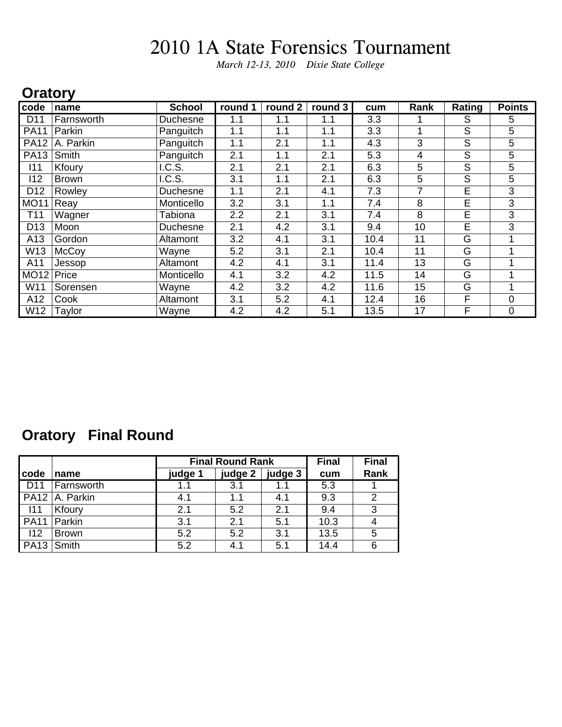*March 12-13, 2010 Dixie State College*

#### **Oratory**

| code            | name         | <b>School</b>   | round 1 | round 2 | round 3 | cum  | Rank | Rating | <b>Points</b> |
|-----------------|--------------|-----------------|---------|---------|---------|------|------|--------|---------------|
| D <sub>11</sub> | Farnsworth   | <b>Duchesne</b> | 1.1     | 1.1     | 1.1     | 3.3  |      | S      | 5             |
| <b>PA11</b>     | Parkin       | Panguitch       | 1.1     | 1.1     | 1.1     | 3.3  |      | S      | 5             |
| <b>PA12</b>     | A. Parkin    | Panguitch       | 1.1     | 2.1     | 1.1     | 4.3  | 3    | S      | 5             |
| <b>PA13</b>     | Smith        | Panguitch       | 2.1     | 1.1     | 2.1     | 5.3  | 4    | S      | 5             |
| 111             | Kfoury       | I.C.S.          | 2.1     | 2.1     | 2.1     | 6.3  | 5    | S      | 5             |
| 112             | <b>Brown</b> | I.C.S.          | 3.1     | 1.1     | 2.1     | 6.3  | 5    | S      | 5             |
| D <sub>12</sub> | Rowley       | Duchesne        | 1.1     | 2.1     | 4.1     | 7.3  | 7    | E      | 3             |
| <b>MO11</b>     | Reay         | Monticello      | 3.2     | 3.1     | 1.1     | 7.4  | 8    | E      | 3             |
| T <sub>11</sub> | Wagner       | Tabiona         | 2.2     | 2.1     | 3.1     | 7.4  | 8    | E      | 3             |
| D <sub>13</sub> | Moon         | <b>Duchesne</b> | 2.1     | 4.2     | 3.1     | 9.4  | 10   | E      | 3             |
| A13             | Gordon       | Altamont        | 3.2     | 4.1     | 3.1     | 10.4 | 11   | G      |               |
| W13             | McCoy        | Wayne           | 5.2     | 3.1     | 2.1     | 10.4 | 11   | G      |               |
| A11             | Jessop       | Altamont        | 4.2     | 4.1     | 3.1     | 11.4 | 13   | G      |               |
| <b>MO12</b>     | Price        | Monticello      | 4.1     | 3.2     | 4.2     | 11.5 | 14   | G      |               |
| W11             | Sorensen     | Wayne           | 4.2     | 3.2     | 4.2     | 11.6 | 15   | G      |               |
| A12             | Cook         | Altamont        | 3.1     | 5.2     | 4.1     | 12.4 | 16   | F      | 0             |
| W12             | Taylor       | Wayne           | 4.2     | 4.2     | 5.1     | 13.5 | 17   | F      | 0             |

## **Oratory Final Round**

|                                  |                |         | <b>Final Round Rank</b> |         | <b>Final</b> | <b>Final</b> |
|----------------------------------|----------------|---------|-------------------------|---------|--------------|--------------|
| code                             | name           | judge 1 | judge 2                 | judge 3 | cum          | Rank         |
| D11                              | Farnsworth     | 1.1     | 3.1                     | 1.1     | 5.3          |              |
|                                  | PA12 A. Parkin | 4.1     | 1.1                     | 4.1     | 9.3          | 2            |
| - 111                            | Kfoury         | 2.1     | 5.2                     | 2.1     | 9.4          | 3            |
| <b>PA11</b>                      | Parkin         | 3.1     | 2.1                     | 5.1     | 10.3         | 4            |
| 112                              | <b>Brown</b>   | 5.2     | 5.2                     | 3.1     | 13.5         | 5            |
| $\vert$ PA <sub>13</sub> $\vert$ | Smith          | 5.2     | 4.1                     | 5.1     | 14.4         | 6            |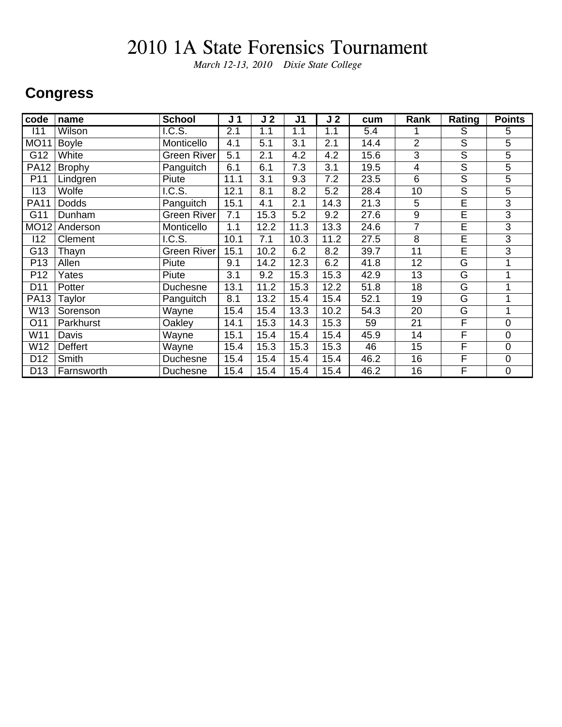*March 12-13, 2010 Dixie State College*

#### **Congress**

| code            | name          | <b>School</b>      | J <sub>1</sub> | J <sub>2</sub> | J <sub>1</sub> | J <sub>2</sub> | cum  | Rank           | Rating                  | <b>Points</b>  |
|-----------------|---------------|--------------------|----------------|----------------|----------------|----------------|------|----------------|-------------------------|----------------|
| 111             | Wilson        | IC.S.              | 2.1            | 1.1            | 1.1            | 1.1            | 5.4  |                | S                       | 5              |
| <b>MO11</b>     | <b>Boyle</b>  | Monticello         | 4.1            | 5.1            | 3.1            | 2.1            | 14.4 | $\overline{2}$ | $\overline{\mathsf{S}}$ | 5              |
| G12             | White         | Green River        | 5.1            | 2.1            | 4.2            | 4.2            | 15.6 | 3              | $\mathsf S$             | 5              |
| <b>PA12</b>     | <b>Brophy</b> | Panguitch          | 6.1            | 6.1            | 7.3            | 3.1            | 19.5 | 4              | $\mathsf S$             | 5              |
| P11             | Lindgren      | Piute              | 11.1           | 3.1            | 9.3            | 7.2            | 23.5 | 6              | $\overline{\mathsf{s}}$ | 5              |
| 113             | Wolfe         | I.C.S.             | 12.1           | 8.1            | 8.2            | 5.2            | 28.4 | 10             | $\overline{\mathsf{s}}$ | 5              |
| <b>PA11</b>     | <b>Dodds</b>  | Panguitch          | 15.1           | 4.1            | 2.1            | 14.3           | 21.3 | $\overline{5}$ | $\overline{\mathsf{E}}$ | $\overline{3}$ |
| G11             | Dunham        | Green River        | 7.1            | 15.3           | 5.2            | 9.2            | 27.6 | 9              | E                       | $\overline{3}$ |
| <b>MO12</b>     | Anderson      | Monticello         | 1.1            | 12.2           | 11.3           | 13.3           | 24.6 | $\overline{7}$ | E                       | 3              |
| 112             | Clement       | I.C.S.             | 10.1           | 7.1            | 10.3           | 11.2           | 27.5 | 8              | Ē                       | 3              |
| G13             | Thayn         | <b>Green River</b> | 15.1           | 10.2           | 6.2            | 8.2            | 39.7 | 11             | E                       | 3              |
| P <sub>13</sub> | Allen         | Piute              | 9.1            | 14.2           | 12.3           | 6.2            | 41.8 | 12             | G                       |                |
| P <sub>12</sub> | Yates         | Piute              | 3.1            | 9.2            | 15.3           | 15.3           | 42.9 | 13             | G                       |                |
| D11             | Potter        | Duchesne           | 13.1           | 11.2           | 15.3           | 12.2           | 51.8 | 18             | G                       |                |
| <b>PA13</b>     | Taylor        | Panguitch          | 8.1            | 13.2           | 15.4           | 15.4           | 52.1 | 19             | G                       |                |
| W13             | Sorenson      | Wayne              | 15.4           | 15.4           | 13.3           | 10.2           | 54.3 | 20             | G                       |                |
| O11             | Parkhurst     | Oakley             | 14.1           | 15.3           | 14.3           | 15.3           | 59   | 21             | F                       | $\mathbf 0$    |
| W11             | Davis         | Wayne              | 15.1           | 15.4           | 15.4           | 15.4           | 45.9 | 14             | F                       | $\mathbf{0}$   |
| W12             | Deffert       | Wayne              | 15.4           | 15.3           | 15.3           | 15.3           | 46   | 15             | F                       | $\mathbf 0$    |
| D <sub>12</sub> | Smith         | Duchesne           | 15.4           | 15.4           | 15.4           | 15.4           | 46.2 | 16             | F                       | $\mathbf 0$    |
| D <sub>13</sub> | Farnsworth    | Duchesne           | 15.4           | 15.4           | 15.4           | 15.4           | 46.2 | 16             | F                       | $\mathbf 0$    |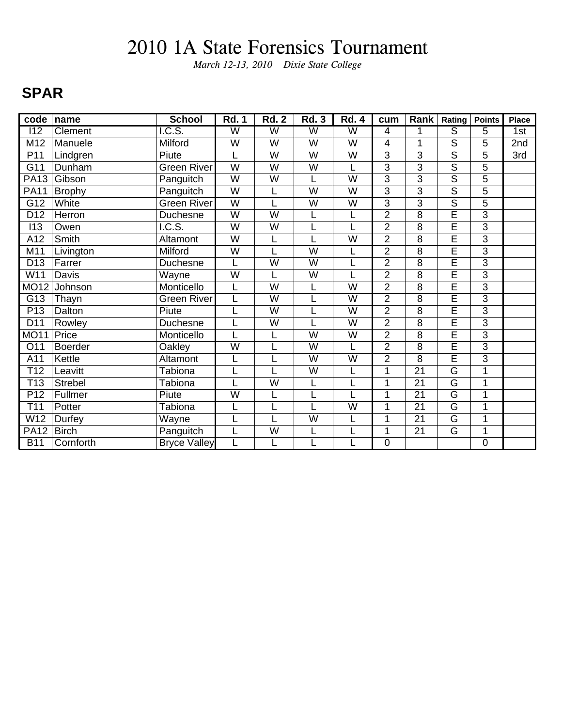*March 12-13, 2010 Dixie State College*

### **SPAR**

| code             | name           | <b>School</b>       | <b>Rd. 1</b>            | <b>Rd. 2</b>            | <b>Rd. 3</b>            | <b>Rd. 4</b>            | cum            | Rank            | Rating                  | <b>Points</b>  | <b>Place</b> |
|------------------|----------------|---------------------|-------------------------|-------------------------|-------------------------|-------------------------|----------------|-----------------|-------------------------|----------------|--------------|
| $\overline{112}$ | Clement        | IC.S.               | $\overline{\mathsf{W}}$ | $\overline{\mathsf{W}}$ | $\overline{\mathsf{W}}$ | $\overline{\mathsf{W}}$ | $\overline{4}$ | 1               | ड                       | 5              | 1st          |
| M12              | Manuele        | Milford             | W                       | W                       | W                       | W                       | 4              | 1               | $\overline{\mathsf{S}}$ | 5              | 2nd          |
| P11              | Lindgren       | Piute               |                         | W                       | W                       | W                       | $\overline{3}$ | 3               | $\overline{\mathsf{s}}$ | $\overline{5}$ | 3rd          |
| $\overline{G11}$ | Dunham         | <b>Green River</b>  | $\overline{\mathsf{W}}$ | W                       | W                       | L                       | 3              | 3               | $\overline{\mathsf{s}}$ | 5              |              |
| <b>PA13</b>      | Gibson         | Panguitch           | W                       | W                       | L                       | W                       | $\overline{3}$ | 3               | $\overline{s}$          | $\overline{5}$ |              |
| <b>PA11</b>      | <b>Brophy</b>  | Panguitch           | $\overline{\mathsf{W}}$ |                         | $\overline{W}$          | W                       | $\overline{3}$ | 3               | $\overline{\mathsf{s}}$ | $\overline{5}$ |              |
| $\overline{G12}$ | White          | <b>Green River</b>  | $\overline{W}$          |                         | W                       | W                       | $\overline{3}$ | $\overline{3}$  | $\overline{\mathsf{s}}$ | $\overline{5}$ |              |
| D <sub>12</sub>  | Herron         | <b>Duchesne</b>     | W                       | W                       | L                       | L                       | $\overline{2}$ | 8               | $\overline{E}$          | $\overline{3}$ |              |
| 113              | Owen           | I.C.S.              | W                       | W                       |                         |                         | $\overline{2}$ | 8               | $\overline{E}$          | 3              |              |
| $\overline{A12}$ | Smith          | Altamont            | $\overline{\mathsf{W}}$ |                         |                         | $\overline{\mathsf{w}}$ | $\overline{2}$ | 8               | $\overline{\sf E}$      | $\overline{3}$ |              |
| M11              | Livington      | Milford             | W                       |                         | $\overline{W}$          | L                       | $\overline{2}$ | $\overline{8}$  | Ē                       | $\overline{3}$ |              |
| D <sub>13</sub>  | Farrer         | Duchesne            | L                       | $\overline{W}$          | $\overline{W}$          |                         | $\overline{2}$ | 8               | E                       | $\overline{3}$ |              |
| W11              | Davis          | Wayne               | $\overline{\mathsf{w}}$ |                         | W                       |                         | $\overline{2}$ | 8               | $\overline{\mathsf{E}}$ | $\overline{3}$ |              |
| <b>MO12</b>      | Johnson        | Monticello          | L                       | W                       | L                       | W                       | $\overline{2}$ | 8               | E                       | $\overline{3}$ |              |
| G13              | Thayn          | <b>Green River</b>  |                         | W                       |                         | W                       | $\overline{2}$ | 8               | $\overline{E}$          | 3              |              |
| P13              | Dalton         | Piute               |                         | $\overline{W}$          | L                       | W                       | $\overline{2}$ | 8               | $\overline{\sf E}$      | $\overline{3}$ |              |
| D11              | Rowley         | Duchesne            |                         | W                       |                         | W                       | $\overline{2}$ | 8               | Ē                       | $\overline{3}$ |              |
| <b>MO11</b>      | Price          | Monticello          |                         |                         | W                       | W                       | $\overline{2}$ | 8               | $\overline{\mathsf{E}}$ | $\overline{3}$ |              |
| O11              | <b>Boerder</b> | Oakley              | $\overline{\mathsf{w}}$ |                         | W                       | L                       | $\overline{2}$ | 8               | $\overline{\mathsf{E}}$ | $\overline{3}$ |              |
| A11              | Kettle         | Altamont            | L                       |                         | W                       | W                       | $\overline{2}$ | 8               | $\overline{E}$          | 3              |              |
| T <sub>12</sub>  | Leavitt        | Tabiona             |                         |                         | W                       | L                       | 1              | $\overline{21}$ | G                       | 1              |              |
| $\overline{113}$ | <b>Strebel</b> | <b>Tabiona</b>      |                         | $\overline{\mathsf{W}}$ | L                       |                         | 1              | $\overline{21}$ | $\overline{\mathsf{G}}$ | $\overline{1}$ |              |
| P12              | Fullmer        | Piute               | W                       |                         | L                       |                         | 1              | $\overline{21}$ | $\overline{\mathsf{G}}$ | 1              |              |
| T11              | Potter         | Tabiona             |                         |                         |                         | W                       | 1              | 21              | G                       | 1              |              |
| W <sub>12</sub>  | Durfey         | Wayne               |                         |                         | $\overline{\mathsf{W}}$ | L                       | 1              | 21              | G                       | 1              |              |
| <b>PA12</b>      | <b>Birch</b>   | Panguitch           |                         | W                       | L                       |                         | 1              | 21              | G                       | 1              |              |
| <b>B11</b>       | Cornforth      | <b>Bryce Valley</b> | L                       |                         |                         | L                       | 0              |                 |                         | $\overline{0}$ |              |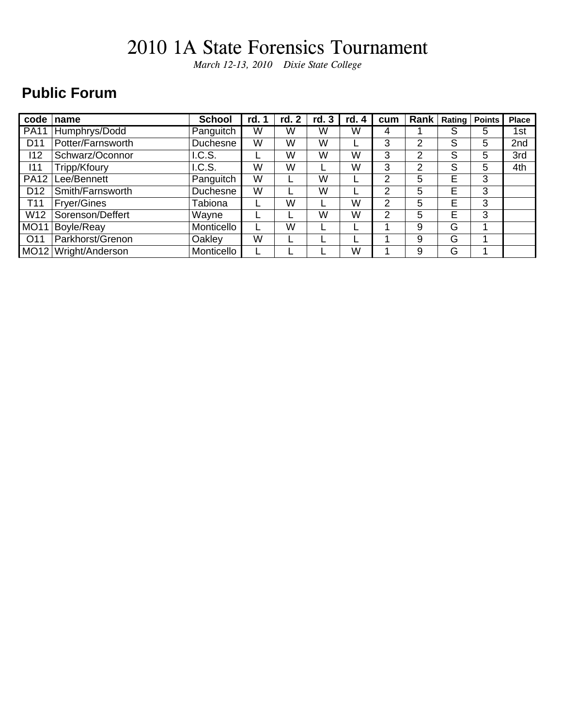*March 12-13, 2010 Dixie State College*

### **Public Forum**

| code            | name               | <b>School</b> | rd. 1 | $\mathbf{2}$<br>rd. | rd. 3 | rd. 4 | cum            | Rank           | <b>Rating</b> | <b>Points</b> | <b>Place</b>    |
|-----------------|--------------------|---------------|-------|---------------------|-------|-------|----------------|----------------|---------------|---------------|-----------------|
| <b>PA11</b>     | Humphrys/Dodd      | Panguitch     | W     | W                   | W     | W     | 4              |                | S             | 5             | 1st             |
| D <sub>11</sub> | Potter/Farnsworth  | Duchesne      | W     | W                   | W     |       | 3              | 2              | S             | 5             | 2 <sub>nd</sub> |
| 112             | Schwarz/Oconnor    | I.C.S.        |       | W                   | W     | W     | 3              | $\overline{2}$ | S             | 5             | 3rd             |
| 111             | Tripp/Kfoury       | I.C.S.        | W     | W                   |       | W     | 3              | 2              | S             | 5             | 4th             |
| <b>PA12</b>     | Lee/Bennett        | Panguitch     | W     |                     | W     |       | 2              | 5              | E             | 3             |                 |
| D <sub>12</sub> | Smith/Farnsworth   | Duchesne      | W     |                     | W     |       | 2              | 5              | E             | 3             |                 |
| T <sub>11</sub> | <b>Fryer/Gines</b> | Tabiona       |       | W                   |       | W     | 2              | 5              | E             | 3             |                 |
| W12             | Sorenson/Deffert   | Wayne         |       |                     | W     | W     | $\overline{2}$ | 5              | E             | 3             |                 |
| <b>MO11</b>     | Boyle/Reay         | Monticello    |       | W                   |       |       |                | 9              | G             |               |                 |
| O <sub>11</sub> | Parkhorst/Grenon   | Oakley        | W     |                     |       |       |                | 9              | G             |               |                 |
| MO12            | Wright/Anderson    | Monticello    |       |                     |       | W     |                | 9              | G             |               |                 |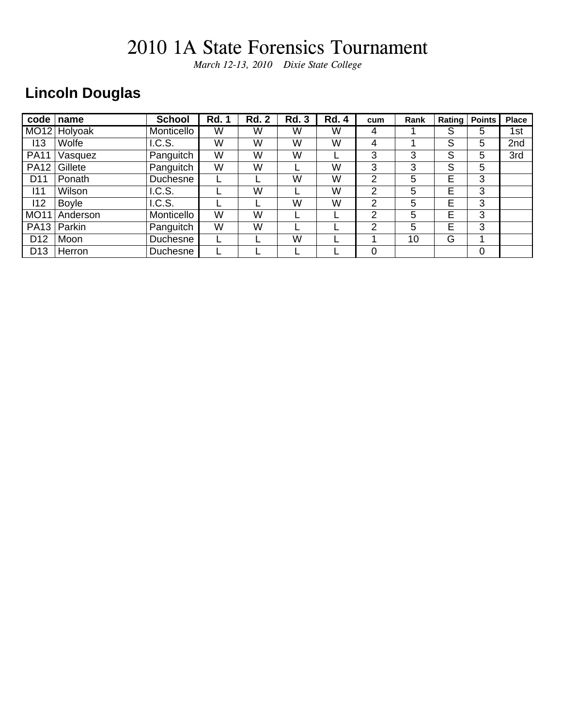*March 12-13, 2010 Dixie State College*

## **Lincoln Douglas**

| code            | name         | <b>School</b> | <b>Rd. 1</b> | <b>Rd. 2</b> | <b>Rd. 3</b> | <b>Rd. 4</b> | cum            | Rank | Rating | <b>Points</b> | <b>Place</b> |
|-----------------|--------------|---------------|--------------|--------------|--------------|--------------|----------------|------|--------|---------------|--------------|
|                 | MO12 Holyoak | Monticello    | W            | W            | W            | W            | 4              |      | S      | 5             | 1st          |
| 113             | Wolfe        | I.C.S.        | W            | W            | W            | W            | 4              |      | S      | 5             | 2nd          |
| <b>PA11</b>     | Vasquez      | Panguitch     | W            | W            | W            |              | 3              | 3    | S      | 5             | 3rd          |
| <b>PA12</b>     | Gillete      | Panguitch     | W            | W            |              | W            | 3              | 3    | S      | 5             |              |
| D <sub>11</sub> | Ponath       | Duchesne      |              |              | W            | W            | 2              | 5    | E      | 3             |              |
| 111             | Wilson       | I.C.S.        |              | W            |              | W            | $\overline{2}$ | 5    | E      | 3             |              |
| 112             | <b>Boyle</b> | I.C.S.        |              |              | W            | W            | 2              | 5    | Е      | 3             |              |
| <b>MO11</b>     | Anderson     | Monticello    | W            | W            |              |              | $\overline{2}$ | 5    | E      | 3             |              |
| <b>PA13</b>     | Parkin       | Panguitch     | W            | W            |              |              | 2              | 5    | E      | 3             |              |
| D <sub>12</sub> | Moon         | Duchesne      |              |              | W            |              |                | 10   | G      |               |              |
| D <sub>13</sub> | Herron       | Duchesne      |              |              |              |              | 0              |      |        | 0             |              |